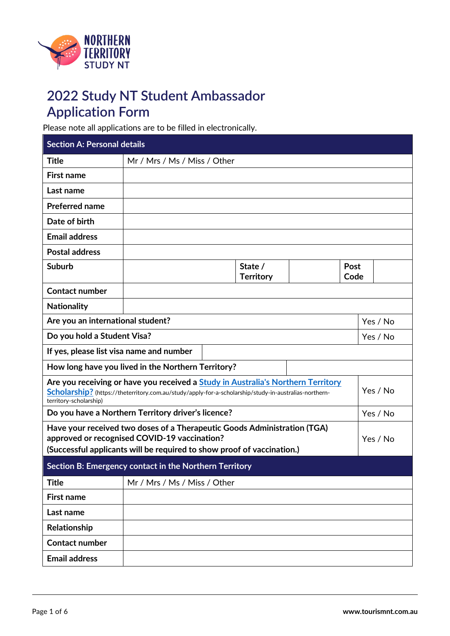

## **2022 Study NT Student Ambassador Application Form**

Please note all applications are to be filled in electronically.

| <b>Section A: Personal details</b>                                                                                                                                                                 |                                                                                                                                                                                                       |                             |          |              |
|----------------------------------------------------------------------------------------------------------------------------------------------------------------------------------------------------|-------------------------------------------------------------------------------------------------------------------------------------------------------------------------------------------------------|-----------------------------|----------|--------------|
| <b>Title</b>                                                                                                                                                                                       | Mr / Mrs / Ms / Miss / Other                                                                                                                                                                          |                             |          |              |
| <b>First name</b>                                                                                                                                                                                  |                                                                                                                                                                                                       |                             |          |              |
| Last name                                                                                                                                                                                          |                                                                                                                                                                                                       |                             |          |              |
| <b>Preferred name</b>                                                                                                                                                                              |                                                                                                                                                                                                       |                             |          |              |
| Date of birth                                                                                                                                                                                      |                                                                                                                                                                                                       |                             |          |              |
| <b>Email address</b>                                                                                                                                                                               |                                                                                                                                                                                                       |                             |          |              |
| <b>Postal address</b>                                                                                                                                                                              |                                                                                                                                                                                                       |                             |          |              |
| <b>Suburb</b>                                                                                                                                                                                      |                                                                                                                                                                                                       | State /<br><b>Territory</b> |          | Post<br>Code |
| <b>Contact number</b>                                                                                                                                                                              |                                                                                                                                                                                                       |                             |          |              |
| <b>Nationality</b>                                                                                                                                                                                 |                                                                                                                                                                                                       |                             |          |              |
| Are you an international student?                                                                                                                                                                  |                                                                                                                                                                                                       |                             |          | Yes / No     |
| Do you hold a Student Visa?                                                                                                                                                                        |                                                                                                                                                                                                       |                             |          | Yes / No     |
| If yes, please list visa name and number                                                                                                                                                           |                                                                                                                                                                                                       |                             |          |              |
|                                                                                                                                                                                                    | How long have you lived in the Northern Territory?                                                                                                                                                    |                             |          |              |
| territory-scholarship)                                                                                                                                                                             | Are you receiving or have you received a Study in Australia's Northern Territory<br>Yes / No<br>Scholarship? (https://theterritory.com.au/study/apply-for-a-scholarship/study-in-australias-northern- |                             |          |              |
| Do you have a Northern Territory driver's licence?                                                                                                                                                 |                                                                                                                                                                                                       |                             | Yes / No |              |
| Have your received two doses of a Therapeutic Goods Administration (TGA)<br>approved or recognised COVID-19 vaccination?<br>(Successful applicants will be required to show proof of vaccination.) |                                                                                                                                                                                                       |                             |          | Yes / No     |
| Section B: Emergency contact in the Northern Territory                                                                                                                                             |                                                                                                                                                                                                       |                             |          |              |
| <b>Title</b>                                                                                                                                                                                       | Mr / Mrs / Ms / Miss / Other                                                                                                                                                                          |                             |          |              |
| <b>First name</b>                                                                                                                                                                                  |                                                                                                                                                                                                       |                             |          |              |
| Last name                                                                                                                                                                                          |                                                                                                                                                                                                       |                             |          |              |
| Relationship                                                                                                                                                                                       |                                                                                                                                                                                                       |                             |          |              |
| <b>Contact number</b>                                                                                                                                                                              |                                                                                                                                                                                                       |                             |          |              |
| <b>Email address</b>                                                                                                                                                                               |                                                                                                                                                                                                       |                             |          |              |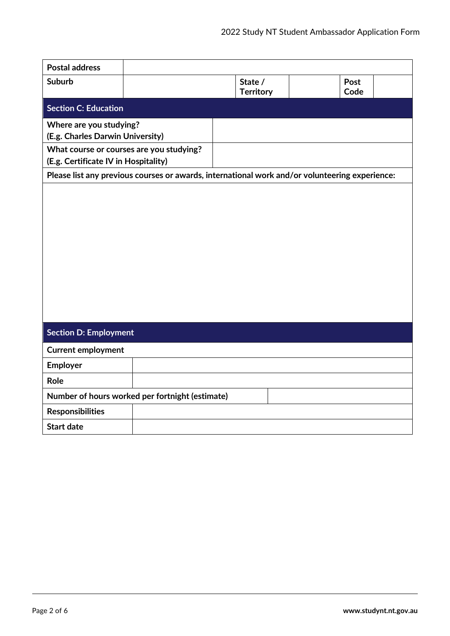| <b>Postal address</b>                                                            |  |                                                                                                |              |
|----------------------------------------------------------------------------------|--|------------------------------------------------------------------------------------------------|--------------|
| <b>Suburb</b>                                                                    |  | State /<br><b>Territory</b>                                                                    | Post<br>Code |
| <b>Section C: Education</b>                                                      |  |                                                                                                |              |
| Where are you studying?<br>(E.g. Charles Darwin University)                      |  |                                                                                                |              |
| What course or courses are you studying?<br>(E.g. Certificate IV in Hospitality) |  |                                                                                                |              |
|                                                                                  |  | Please list any previous courses or awards, international work and/or volunteering experience: |              |
|                                                                                  |  |                                                                                                |              |
| <b>Section D: Employment</b>                                                     |  |                                                                                                |              |
| <b>Current employment</b>                                                        |  |                                                                                                |              |
| Employer                                                                         |  |                                                                                                |              |
| Role                                                                             |  |                                                                                                |              |
| Number of hours worked per fortnight (estimate)                                  |  |                                                                                                |              |
| <b>Responsibilities</b>                                                          |  |                                                                                                |              |
| <b>Start date</b>                                                                |  |                                                                                                |              |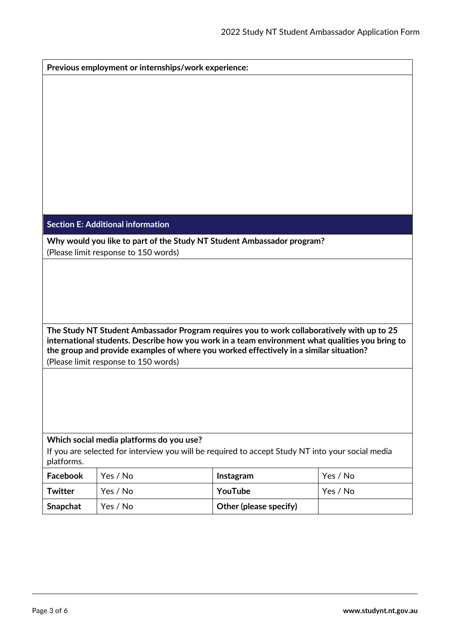| Previous employment or internships/work experience:                                                                                                                                                                                                                                     |                                                                        |                        |          |  |
|-----------------------------------------------------------------------------------------------------------------------------------------------------------------------------------------------------------------------------------------------------------------------------------------|------------------------------------------------------------------------|------------------------|----------|--|
|                                                                                                                                                                                                                                                                                         |                                                                        |                        |          |  |
|                                                                                                                                                                                                                                                                                         |                                                                        |                        |          |  |
|                                                                                                                                                                                                                                                                                         |                                                                        |                        |          |  |
|                                                                                                                                                                                                                                                                                         |                                                                        |                        |          |  |
|                                                                                                                                                                                                                                                                                         |                                                                        |                        |          |  |
|                                                                                                                                                                                                                                                                                         |                                                                        |                        |          |  |
|                                                                                                                                                                                                                                                                                         |                                                                        |                        |          |  |
|                                                                                                                                                                                                                                                                                         |                                                                        |                        |          |  |
|                                                                                                                                                                                                                                                                                         |                                                                        |                        |          |  |
|                                                                                                                                                                                                                                                                                         | <b>Section E: Additional information</b>                               |                        |          |  |
|                                                                                                                                                                                                                                                                                         | Why would you like to part of the Study NT Student Ambassador program? |                        |          |  |
|                                                                                                                                                                                                                                                                                         | (Please limit response to 150 words)                                   |                        |          |  |
|                                                                                                                                                                                                                                                                                         |                                                                        |                        |          |  |
|                                                                                                                                                                                                                                                                                         |                                                                        |                        |          |  |
|                                                                                                                                                                                                                                                                                         |                                                                        |                        |          |  |
|                                                                                                                                                                                                                                                                                         |                                                                        |                        |          |  |
| The Study NT Student Ambassador Program requires you to work collaboratively with up to 25<br>international students. Describe how you work in a team environment what qualities you bring to<br>the group and provide examples of where you worked effectively in a similar situation? |                                                                        |                        |          |  |
|                                                                                                                                                                                                                                                                                         | (Please limit response to 150 words)                                   |                        |          |  |
|                                                                                                                                                                                                                                                                                         |                                                                        |                        |          |  |
|                                                                                                                                                                                                                                                                                         |                                                                        |                        |          |  |
|                                                                                                                                                                                                                                                                                         |                                                                        |                        |          |  |
|                                                                                                                                                                                                                                                                                         |                                                                        |                        |          |  |
|                                                                                                                                                                                                                                                                                         | Which social media platforms do you use?                               |                        |          |  |
| If you are selected for interview you will be required to accept Study NT into your social media<br>platforms.                                                                                                                                                                          |                                                                        |                        |          |  |
| <b>Facebook</b>                                                                                                                                                                                                                                                                         | Yes / No                                                               | Instagram              | Yes / No |  |
| <b>Twitter</b>                                                                                                                                                                                                                                                                          | Yes / No                                                               | YouTube                | Yes / No |  |
| Snapchat                                                                                                                                                                                                                                                                                | Yes / No                                                               | Other (please specify) |          |  |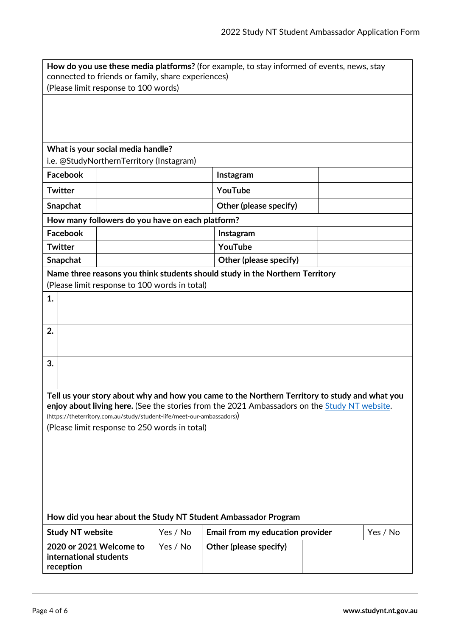| How do you use these media platforms? (for example, to stay informed of events, news, stay<br>connected to friends or family, share experiences) |          |                                  |  |          |
|--------------------------------------------------------------------------------------------------------------------------------------------------|----------|----------------------------------|--|----------|
| (Please limit response to 100 words)                                                                                                             |          |                                  |  |          |
|                                                                                                                                                  |          |                                  |  |          |
|                                                                                                                                                  |          |                                  |  |          |
|                                                                                                                                                  |          |                                  |  |          |
| What is your social media handle?                                                                                                                |          |                                  |  |          |
| i.e. @StudyNorthernTerritory (Instagram)                                                                                                         |          |                                  |  |          |
| Facebook                                                                                                                                         |          | Instagram                        |  |          |
| <b>Twitter</b>                                                                                                                                   |          | YouTube                          |  |          |
| Snapchat                                                                                                                                         |          | Other (please specify)           |  |          |
| How many followers do you have on each platform?                                                                                                 |          |                                  |  |          |
| Facebook                                                                                                                                         |          | Instagram                        |  |          |
| <b>Twitter</b>                                                                                                                                   |          | YouTube                          |  |          |
| Snapchat                                                                                                                                         |          | Other (please specify)           |  |          |
| Name three reasons you think students should study in the Northern Territory                                                                     |          |                                  |  |          |
| (Please limit response to 100 words in total)                                                                                                    |          |                                  |  |          |
| 1.                                                                                                                                               |          |                                  |  |          |
|                                                                                                                                                  |          |                                  |  |          |
| 2.                                                                                                                                               |          |                                  |  |          |
|                                                                                                                                                  |          |                                  |  |          |
| 3.                                                                                                                                               |          |                                  |  |          |
|                                                                                                                                                  |          |                                  |  |          |
| Tell us your story about why and how you came to the Northern Territory to study and what you                                                    |          |                                  |  |          |
| enjoy about living here. (See the stories from the 2021 Ambassadors on the Study NT website.                                                     |          |                                  |  |          |
| (https://theterritory.com.au/study/student-life/meet-our-ambassadors))                                                                           |          |                                  |  |          |
| (Please limit response to 250 words in total)                                                                                                    |          |                                  |  |          |
|                                                                                                                                                  |          |                                  |  |          |
|                                                                                                                                                  |          |                                  |  |          |
|                                                                                                                                                  |          |                                  |  |          |
|                                                                                                                                                  |          |                                  |  |          |
|                                                                                                                                                  |          |                                  |  |          |
| How did you hear about the Study NT Student Ambassador Program                                                                                   |          |                                  |  |          |
| <b>Study NT website</b>                                                                                                                          | Yes / No | Email from my education provider |  | Yes / No |
| 2020 or 2021 Welcome to                                                                                                                          | Yes / No | Other (please specify)           |  |          |
| international students<br>reception                                                                                                              |          |                                  |  |          |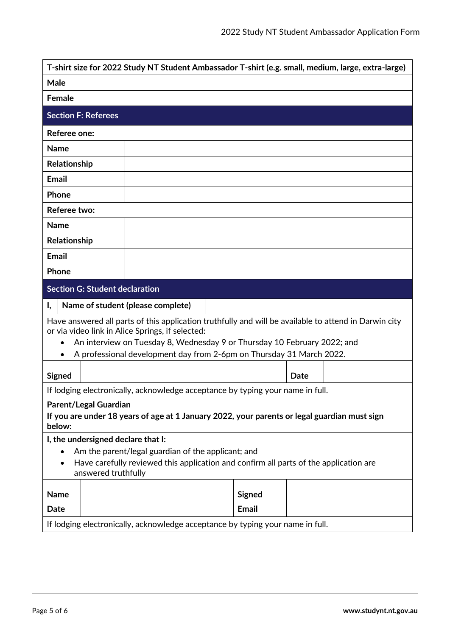|                                                                      | T-shirt size for 2022 Study NT Student Ambassador T-shirt (e.g. small, medium, large, extra-large)                                                        |               |      |  |
|----------------------------------------------------------------------|-----------------------------------------------------------------------------------------------------------------------------------------------------------|---------------|------|--|
| Male                                                                 |                                                                                                                                                           |               |      |  |
| <b>Female</b>                                                        |                                                                                                                                                           |               |      |  |
| <b>Section F: Referees</b>                                           |                                                                                                                                                           |               |      |  |
| Referee one:                                                         |                                                                                                                                                           |               |      |  |
| <b>Name</b>                                                          |                                                                                                                                                           |               |      |  |
| Relationship                                                         |                                                                                                                                                           |               |      |  |
| <b>Email</b>                                                         |                                                                                                                                                           |               |      |  |
| Phone                                                                |                                                                                                                                                           |               |      |  |
| Referee two:                                                         |                                                                                                                                                           |               |      |  |
| <b>Name</b>                                                          |                                                                                                                                                           |               |      |  |
| Relationship                                                         |                                                                                                                                                           |               |      |  |
| <b>Email</b>                                                         |                                                                                                                                                           |               |      |  |
| Phone                                                                |                                                                                                                                                           |               |      |  |
| <b>Section G: Student declaration</b>                                |                                                                                                                                                           |               |      |  |
| Ι,                                                                   | Name of student (please complete)                                                                                                                         |               |      |  |
|                                                                      | Have answered all parts of this application truthfully and will be available to attend in Darwin city<br>or via video link in Alice Springs, if selected: |               |      |  |
| $\bullet$                                                            | An interview on Tuesday 8, Wednesday 9 or Thursday 10 February 2022; and                                                                                  |               |      |  |
| A professional development day from 2-6pm on Thursday 31 March 2022. |                                                                                                                                                           |               |      |  |
|                                                                      |                                                                                                                                                           |               |      |  |
|                                                                      |                                                                                                                                                           |               | Date |  |
| <b>Signed</b>                                                        | If lodging electronically, acknowledge acceptance by typing your name in full.                                                                            |               |      |  |
| <b>Parent/Legal Guardian</b>                                         |                                                                                                                                                           |               |      |  |
| below:                                                               | If you are under 18 years of age at 1 January 2022, your parents or legal guardian must sign                                                              |               |      |  |
| I, the undersigned declare that I:                                   |                                                                                                                                                           |               |      |  |
|                                                                      | Am the parent/legal guardian of the applicant; and                                                                                                        |               |      |  |
| answered truthfully                                                  | Have carefully reviewed this application and confirm all parts of the application are                                                                     |               |      |  |
| <b>Name</b>                                                          |                                                                                                                                                           | <b>Signed</b> |      |  |
| Date                                                                 |                                                                                                                                                           | <b>Email</b>  |      |  |